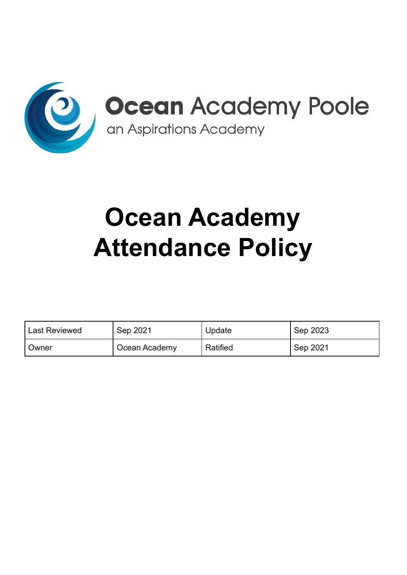

# **Ocean Academy Attendance Policy**

| <b>Last Reviewed</b> | Sep 2021      | Update   | Sep 2023 |
|----------------------|---------------|----------|----------|
| Owner                | Ocean Academy | Ratified | Sep 2021 |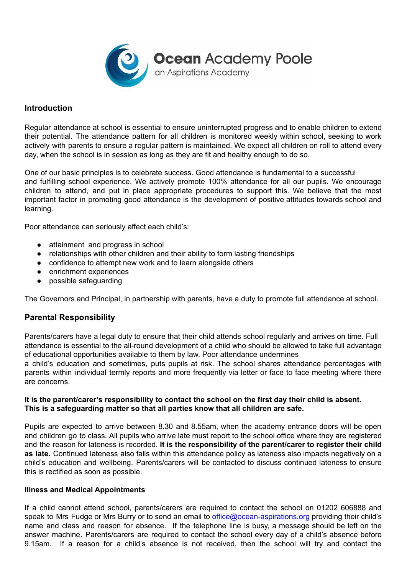**Ocean Academy Poole**<br>an Aspirations Academy

## **Introduction**

Regular attendance at school is essential to ensure uninterrupted progress and to enable children to extend their potential. The attendance pattern for all children is monitored weekly within school, seeking to work actively with parents to ensure a regular pattern is maintained. We expect all children on roll to attend every day, when the school is in session as long as they are fit and healthy enough to do so.

One of our basic principles is to celebrate success. Good attendance is fundamental to a successful and fulfilling school experience. We actively promote 100% attendance for all our pupils. We encourage children to attend, and put in place appropriate procedures to support this. We believe that the most important factor in promoting good attendance is the development of positive attitudes towards school and learning.

Poor attendance can seriously affect each child's:

- attainment and progress in school
- relationships with other children and their ability to form lasting friendships
- confidence to attempt new work and to learn alongside others
- enrichment experiences
- possible safeguarding

The Governors and Principal, in partnership with parents, have a duty to promote full attendance at school.

## **Parental Responsibility**

Parents/carers have a legal duty to ensure that their child attends school regularly and arrives on time. Full attendance is essential to the all-round development of a child who should be allowed to take full advantage of educational opportunities available to them by law. Poor attendance undermines

a child's education and sometimes, puts pupils at risk. The school shares attendance percentages with parents within individual termly reports and more frequently via letter or face to face meeting where there are concerns.

#### **It is the parent/carer's responsibility to contact the school on the first day their child is absent. This is a safeguarding matter so that all parties know that all children are safe.**

Pupils are expected to arrive between 8.30 and 8.55am, when the academy entrance doors will be open and children go to class. All pupils who arrive late must report to the school office where they are registered and the reason for lateness is recorded. **It is the responsibility of the parent/carer to register their child as late.** Continued lateness also falls within this attendance policy as lateness also impacts negatively on a child's education and wellbeing. Parents/carers will be contacted to discuss continued lateness to ensure this is rectified as soon as possible.

#### **Illness and Medical Appointments**

If a child cannot attend school, parents/carers are required to contact the school on 01202 606888 and speak to Mrs Fudge or Mrs Burry or to send an email to *[office@ocean-aspirations.org](mailto:office@ocean-aspirations.org)* providing their child's name and class and reason for absence. If the telephone line is busy, a message should be left on the answer machine. Parents/carers are required to contact the school every day of a child's absence before 9.15am. If a reason for a child's absence is not received, then the school will try and contact the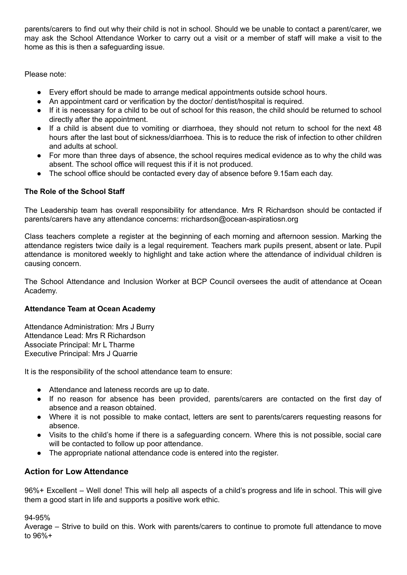parents/carers to find out why their child is not in school. Should we be unable to contact a parent/carer, we may ask the School Attendance Worker to carry out a visit or a member of staff will make a visit to the home as this is then a safeguarding issue.

Please note:

- Every effort should be made to arrange medical appointments outside school hours.
- An appointment card or verification by the doctor/ dentist/hospital is required.
- If it is necessary for a child to be out of school for this reason, the child should be returned to school directly after the appointment.
- If a child is absent due to vomiting or diarrhoea, they should not return to school for the next 48 hours after the last bout of sickness/diarrhoea. This is to reduce the risk of infection to other children and adults at school.
- For more than three days of absence, the school requires medical evidence as to why the child was absent. The school office will request this if it is not produced.
- The school office should be contacted every day of absence before 9.15am each day.

## **The Role of the School Staff**

The Leadership team has overall responsibility for attendance. Mrs R Richardson should be contacted if parents/carers have any attendance concerns: rrichardson@ocean-aspiratiosn.org

Class teachers complete a register at the beginning of each morning and afternoon session. Marking the attendance registers twice daily is a legal requirement. Teachers mark pupils present, absent or late. Pupil attendance is monitored weekly to highlight and take action where the attendance of individual children is causing concern.

The School Attendance and Inclusion Worker at BCP Council oversees the audit of attendance at Ocean Academy.

## **Attendance Team at Ocean Academy**

Attendance Administration: Mrs J Burry Attendance Lead: Mrs R Richardson Associate Principal: Mr L Tharme Executive Principal: Mrs J Quarrie

It is the responsibility of the school attendance team to ensure:

- Attendance and lateness records are up to date.
- If no reason for absence has been provided, parents/carers are contacted on the first day of absence and a reason obtained.
- Where it is not possible to make contact, letters are sent to parents/carers requesting reasons for absence.
- Visits to the child's home if there is a safeguarding concern. Where this is not possible, social care will be contacted to follow up poor attendance.
- The appropriate national attendance code is entered into the register.

## **Action for Low Attendance**

96%+ Excellent – Well done! This will help all aspects of a child's progress and life in school. This will give them a good start in life and supports a positive work ethic.

94-95%

Average – Strive to build on this. Work with parents/carers to continue to promote full attendance to move to 96%+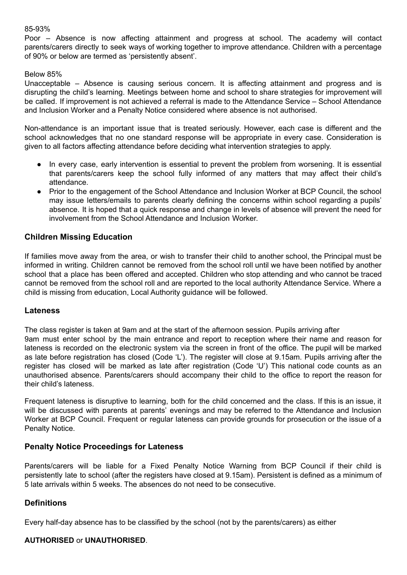#### 85-93%

Poor – Absence is now affecting attainment and progress at school. The academy will contact parents/carers directly to seek ways of working together to improve attendance. Children with a percentage of 90% or below are termed as 'persistently absent'.

#### Below 85%

Unacceptable – Absence is causing serious concern. It is affecting attainment and progress and is disrupting the child's learning. Meetings between home and school to share strategies for improvement will be called. If improvement is not achieved a referral is made to the Attendance Service – School Attendance and Inclusion Worker and a Penalty Notice considered where absence is not authorised.

Non-attendance is an important issue that is treated seriously. However, each case is different and the school acknowledges that no one standard response will be appropriate in every case. Consideration is given to all factors affecting attendance before deciding what intervention strategies to apply.

- In every case, early intervention is essential to prevent the problem from worsening. It is essential that parents/carers keep the school fully informed of any matters that may affect their child's attendance.
- Prior to the engagement of the School Attendance and Inclusion Worker at BCP Council, the school may issue letters/emails to parents clearly defining the concerns within school regarding a pupils' absence. It is hoped that a quick response and change in levels of absence will prevent the need for involvement from the School Attendance and Inclusion Worker.

## **Children Missing Education**

If families move away from the area, or wish to transfer their child to another school, the Principal must be informed in writing. Children cannot be removed from the school roll until we have been notified by another school that a place has been offered and accepted. Children who stop attending and who cannot be traced cannot be removed from the school roll and are reported to the local authority Attendance Service. Where a child is missing from education, Local Authority guidance will be followed.

## **Lateness**

The class register is taken at 9am and at the start of the afternoon session. Pupils arriving after 9am must enter school by the main entrance and report to reception where their name and reason for lateness is recorded on the electronic system via the screen in front of the office. The pupil will be marked as late before registration has closed (Code 'L'). The register will close at 9.15am. Pupils arriving after the register has closed will be marked as late after registration (Code 'U') This national code counts as an unauthorised absence. Parents/carers should accompany their child to the office to report the reason for their child's lateness.

Frequent lateness is disruptive to learning, both for the child concerned and the class. If this is an issue, it will be discussed with parents at parents' evenings and may be referred to the Attendance and Inclusion Worker at BCP Council. Frequent or regular lateness can provide grounds for prosecution or the issue of a Penalty Notice.

## **Penalty Notice Proceedings for Lateness**

Parents/carers will be liable for a Fixed Penalty Notice Warning from BCP Council if their child is persistently late to school (after the registers have closed at 9.15am). Persistent is defined as a minimum of 5 late arrivals within 5 weeks. The absences do not need to be consecutive.

## **Definitions**

Every half-day absence has to be classified by the school (not by the parents/carers) as either

## **AUTHORISED** or **UNAUTHORISED**.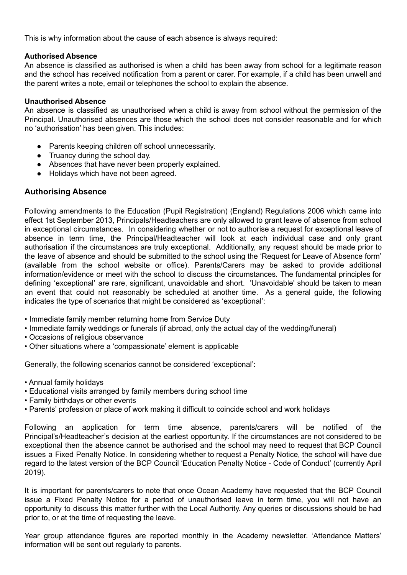This is why information about the cause of each absence is always required:

#### **Authorised Absence**

An absence is classified as authorised is when a child has been away from school for a legitimate reason and the school has received notification from a parent or carer. For example, if a child has been unwell and the parent writes a note, email or telephones the school to explain the absence.

#### **Unauthorised Absence**

An absence is classified as unauthorised when a child is away from school without the permission of the Principal. Unauthorised absences are those which the school does not consider reasonable and for which no 'authorisation' has been given. This includes:

- Parents keeping children off school unnecessarily.
- Truancy during the school day.
- Absences that have never been properly explained.
- Holidays which have not been agreed.

## **Authorising Absence**

Following amendments to the Education (Pupil Registration) (England) Regulations 2006 which came into effect 1st September 2013, Principals/Headteachers are only allowed to grant leave of absence from school in exceptional circumstances. In considering whether or not to authorise a request for exceptional leave of absence in term time, the Principal/Headteacher will look at each individual case and only grant authorisation if the circumstances are truly exceptional. Additionally, any request should be made prior to the leave of absence and should be submitted to the school using the 'Request for Leave of Absence form' (available from the school website or office). Parents/Carers may be asked to provide additional information/evidence or meet with the school to discuss the circumstances. The fundamental principles for defining 'exceptional' are rare, significant, unavoidable and short. 'Unavoidable' should be taken to mean an event that could not reasonably be scheduled at another time. As a general guide, the following indicates the type of scenarios that might be considered as 'exceptional':

- Immediate family member returning home from Service Duty
- Immediate family weddings or funerals (if abroad, only the actual day of the wedding/funeral)
- Occasions of religious observance
- Other situations where a 'compassionate' element is applicable

Generally, the following scenarios cannot be considered 'exceptional':

- Annual family holidays
- Educational visits arranged by family members during school time
- Family birthdays or other events
- Parents' profession or place of work making it difficult to coincide school and work holidays

Following an application for term time absence, parents/carers will be notified of the Principal's/Headteacher's decision at the earliest opportunity. If the circumstances are not considered to be exceptional then the absence cannot be authorised and the school may need to request that BCP Council issues a Fixed Penalty Notice. In considering whether to request a Penalty Notice, the school will have due regard to the latest version of the BCP Council 'Education Penalty Notice - Code of Conduct' (currently April 2019).

It is important for parents/carers to note that once Ocean Academy have requested that the BCP Council issue a Fixed Penalty Notice for a period of unauthorised leave in term time, you will not have an opportunity to discuss this matter further with the Local Authority. Any queries or discussions should be had prior to, or at the time of requesting the leave.

Year group attendance figures are reported monthly in the Academy newsletter. 'Attendance Matters' information will be sent out regularly to parents.